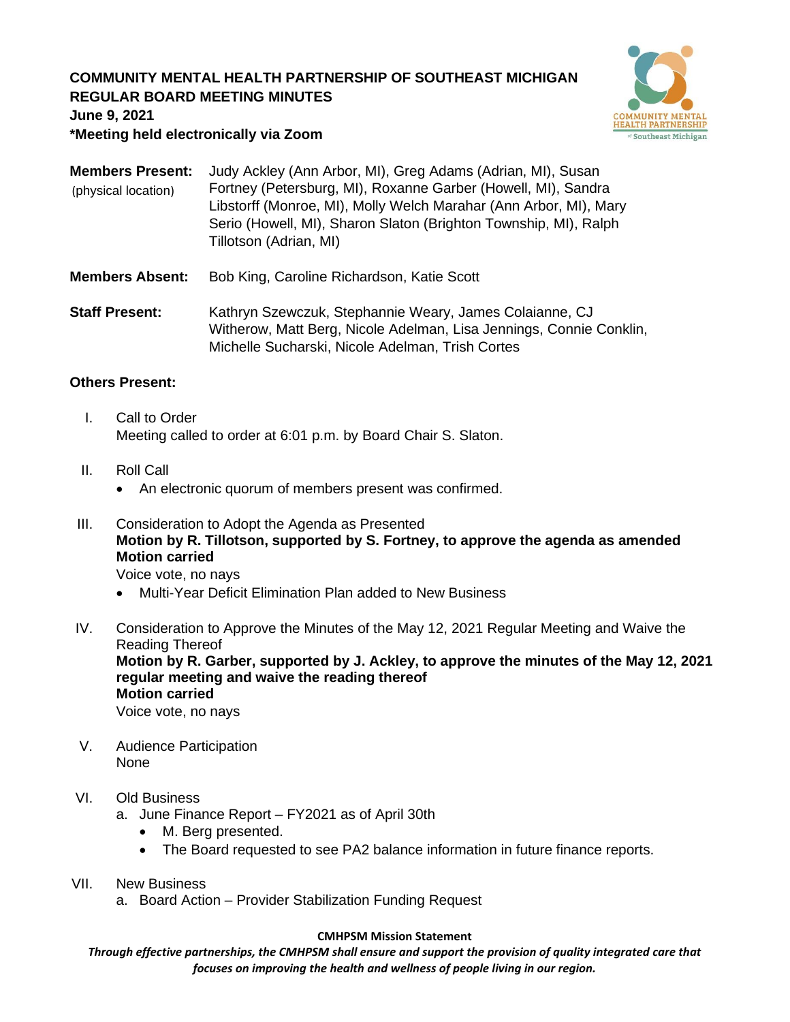## **COMMUNITY MENTAL HEALTH PARTNERSHIP OF SOUTHEAST MICHIGAN REGULAR BOARD MEETING MINUTES**



**June 9, 2021**

### **\*Meeting held electronically via Zoom**

| <b>Members Present:</b><br>(physical location) | Judy Ackley (Ann Arbor, MI), Greg Adams (Adrian, MI), Susan<br>Fortney (Petersburg, MI), Roxanne Garber (Howell, MI), Sandra<br>Libstorff (Monroe, MI), Molly Welch Marahar (Ann Arbor, MI), Mary<br>Serio (Howell, MI), Sharon Slaton (Brighton Township, MI), Ralph<br>Tillotson (Adrian, MI) |
|------------------------------------------------|-------------------------------------------------------------------------------------------------------------------------------------------------------------------------------------------------------------------------------------------------------------------------------------------------|
| <b>Members Absent:</b>                         | Bob King, Caroline Richardson, Katie Scott                                                                                                                                                                                                                                                      |
| <b>Staff Dracant:</b>                          | Kathryn Szewczuk, Stephannie Weary, James Colaianne, CJ                                                                                                                                                                                                                                         |

**Staff Present:** Kathryn Szewczuk, Stephannie Weary, James Colaianne, CJ Witherow, Matt Berg, Nicole Adelman, Lisa Jennings, Connie Conklin, Michelle Sucharski, Nicole Adelman, Trish Cortes

## **Others Present:**

- I. Call to Order Meeting called to order at 6:01 p.m. by Board Chair S. Slaton.
- II. Roll Call
	- An electronic quorum of members present was confirmed.
- III. Consideration to Adopt the Agenda as Presented **Motion by R. Tillotson, supported by S. Fortney, to approve the agenda as amended Motion carried**

Voice vote, no nays

- Multi-Year Deficit Elimination Plan added to New Business
- IV. Consideration to Approve the Minutes of the May 12, 2021 Regular Meeting and Waive the Reading Thereof **Motion by R. Garber, supported by J. Ackley, to approve the minutes of the May 12, 2021 regular meeting and waive the reading thereof Motion carried**

Voice vote, no nays

V. Audience Participation None

## VI. Old Business

a. June Finance Report – FY2021 as of April 30th

- M. Berg presented.
- The Board requested to see PA2 balance information in future finance reports.
- VII. New Business
	- a. Board Action Provider Stabilization Funding Request

#### **CMHPSM Mission Statement**

*Through effective partnerships, the CMHPSM shall ensure and support the provision of quality integrated care that focuses on improving the health and wellness of people living in our region.*